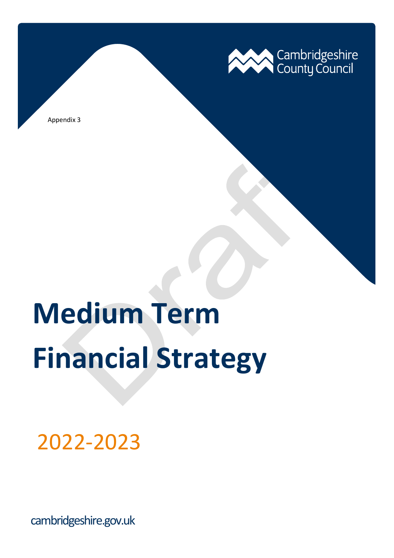

Appendix 3

# **Medium Term Financial Strategy**

2022-2023

cambridgeshire.gov.uk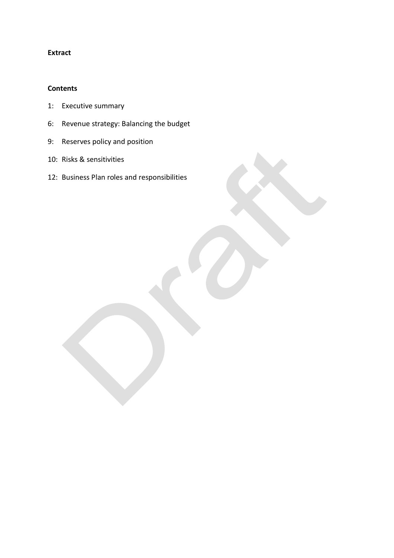## **Extract**

#### **Contents**

- 1: Executive summary
- 6: Revenue strategy: Balancing the budget
- 9: Reserves policy and position
- 10: Risks & sensitivities
- 12: Business Plan roles and responsibilities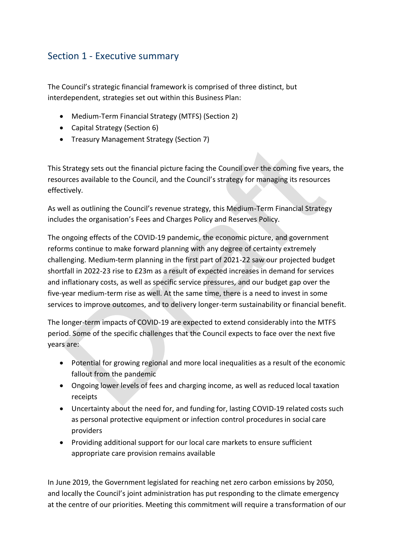# Section 1 - Executive summary

The Council's strategic financial framework is comprised of three distinct, but interdependent, strategies set out within this Business Plan:

- Medium-Term Financial Strategy (MTFS) (Section 2)
- Capital Strategy (Section 6)
- Treasury Management Strategy (Section 7)

This Strategy sets out the financial picture facing the Council over the coming five years, the resources available to the Council, and the Council's strategy for managing its resources effectively.

As well as outlining the Council's revenue strategy, this Medium-Term Financial Strategy includes the organisation's Fees and Charges Policy and Reserves Policy.

The ongoing effects of the COVID-19 pandemic, the economic picture, and government reforms continue to make forward planning with any degree of certainty extremely challenging. Medium-term planning in the first part of 2021-22 saw our projected budget shortfall in 2022-23 rise to £23m as a result of expected increases in demand for services and inflationary costs, as well as specific service pressures, and our budget gap over the five-year medium-term rise as well. At the same time, there is a need to invest in some services to improve outcomes, and to delivery longer-term sustainability or financial benefit.

The longer-term impacts of COVID-19 are expected to extend considerably into the MTFS period. Some of the specific challenges that the Council expects to face over the next five years are:

- Potential for growing regional and more local inequalities as a result of the economic fallout from the pandemic
- Ongoing lower levels of fees and charging income, as well as reduced local taxation receipts
- Uncertainty about the need for, and funding for, lasting COVID-19 related costs such as personal protective equipment or infection control procedures in social care providers
- Providing additional support for our local care markets to ensure sufficient appropriate care provision remains available

In June 2019, the Government legislated for reaching net zero carbon emissions by 2050, and locally the Council's joint administration has put responding to the climate emergency at the centre of our priorities. Meeting this commitment will require a transformation of our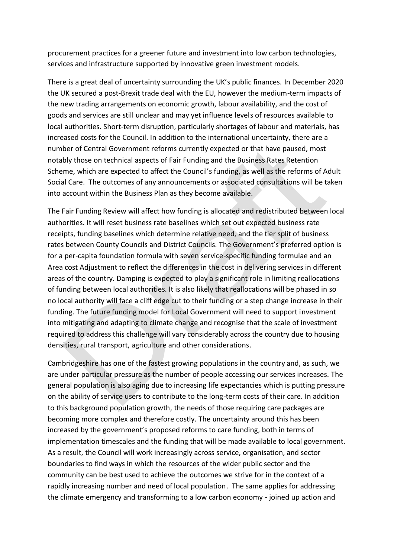procurement practices for a greener future and investment into low carbon technologies, services and infrastructure supported by innovative green investment models.

There is a great deal of uncertainty surrounding the UK's public finances. In December 2020 the UK secured a post-Brexit trade deal with the EU, however the medium-term impacts of the new trading arrangements on economic growth, labour availability, and the cost of goods and services are still unclear and may yet influence levels of resources available to local authorities. Short-term disruption, particularly shortages of labour and materials, has increased costs for the Council. In addition to the international uncertainty, there are a number of Central Government reforms currently expected or that have paused, most notably those on technical aspects of Fair Funding and the Business Rates Retention Scheme, which are expected to affect the Council's funding, as well as the reforms of Adult Social Care. The outcomes of any announcements or associated consultations will be taken into account within the Business Plan as they become available.

The Fair Funding Review will affect how funding is allocated and redistributed between local authorities. It will reset business rate baselines which set out expected business rate receipts, funding baselines which determine relative need, and the tier split of business rates between County Councils and District Councils. The Government's preferred option is for a per-capita foundation formula with seven service-specific funding formulae and an Area cost Adjustment to reflect the differences in the cost in delivering services in different areas of the country. Damping is expected to play a significant role in limiting reallocations of funding between local authorities. It is also likely that reallocations will be phased in so no local authority will face a cliff edge cut to their funding or a step change increase in their funding. The future funding model for Local Government will need to support investment into mitigating and adapting to climate change and recognise that the scale of investment required to address this challenge will vary considerably across the country due to housing densities, rural transport, agriculture and other considerations.

Cambridgeshire has one of the fastest growing populations in the country and, as such, we are under particular pressure as the number of people accessing our services increases. The general population is also aging due to increasing life expectancies which is putting pressure on the ability of service users to contribute to the long-term costs of their care. In addition to this background population growth, the needs of those requiring care packages are becoming more complex and therefore costly. The uncertainty around this has been increased by the government's proposed reforms to care funding, both in terms of implementation timescales and the funding that will be made available to local government. As a result, the Council will work increasingly across service, organisation, and sector boundaries to find ways in which the resources of the wider public sector and the community can be best used to achieve the outcomes we strive for in the context of a rapidly increasing number and need of local population. The same applies for addressing the climate emergency and transforming to a low carbon economy - joined up action and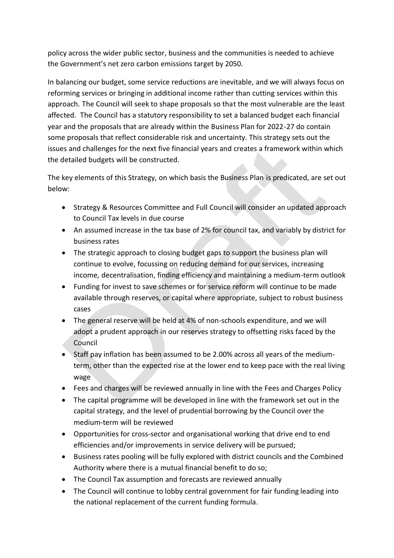policy across the wider public sector, business and the communities is needed to achieve the Government's net zero carbon emissions target by 2050.

In balancing our budget, some service reductions are inevitable, and we will always focus on reforming services or bringing in additional income rather than cutting services within this approach. The Council will seek to shape proposals so that the most vulnerable are the least affected. The Council has a statutory responsibility to set a balanced budget each financial year and the proposals that are already within the Business Plan for 2022-27 do contain some proposals that reflect considerable risk and uncertainty. This strategy sets out the issues and challenges for the next five financial years and creates a framework within which the detailed budgets will be constructed.

The key elements of this Strategy, on which basis the Business Plan is predicated, are set out below:

- Strategy & Resources Committee and Full Council will consider an updated approach to Council Tax levels in due course
- An assumed increase in the tax base of 2% for council tax, and variably by district for business rates
- The strategic approach to closing budget gaps to support the business plan will continue to evolve, focussing on reducing demand for our services, increasing income, decentralisation, finding efficiency and maintaining a medium-term outlook
- Funding for invest to save schemes or for service reform will continue to be made available through reserves, or capital where appropriate, subject to robust business cases
- The general reserve will be held at 4% of non-schools expenditure, and we will adopt a prudent approach in our reserves strategy to offsetting risks faced by the Council
- Staff pay inflation has been assumed to be 2.00% across all years of the mediumterm, other than the expected rise at the lower end to keep pace with the real living wage
- Fees and charges will be reviewed annually in line with the Fees and Charges Policy
- The capital programme will be developed in line with the framework set out in the capital strategy, and the level of prudential borrowing by the Council over the medium-term will be reviewed
- Opportunities for cross-sector and organisational working that drive end to end efficiencies and/or improvements in service delivery will be pursued;
- Business rates pooling will be fully explored with district councils and the Combined Authority where there is a mutual financial benefit to do so;
- The Council Tax assumption and forecasts are reviewed annually
- The Council will continue to lobby central government for fair funding leading into the national replacement of the current funding formula.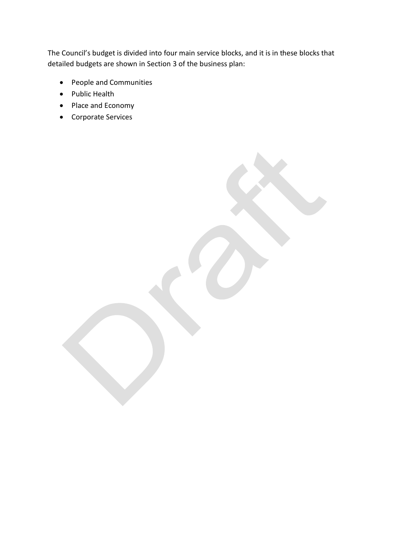The Council's budget is divided into four main service blocks, and it is in these blocks that detailed budgets are shown in Section 3 of the business plan:

- People and Communities
- Public Health
- Place and Economy
- Corporate Services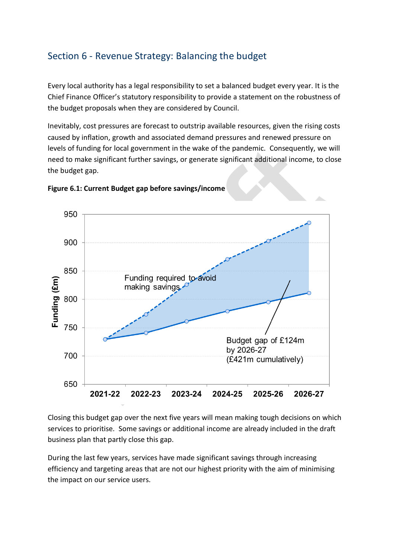# Section 6 - Revenue Strategy: Balancing the budget

Every local authority has a legal responsibility to set a balanced budget every year. It is the Chief Finance Officer's statutory responsibility to provide a statement on the robustness of the budget proposals when they are considered by Council.

Inevitably, cost pressures are forecast to outstrip available resources, given the rising costs caused by inflation, growth and associated demand pressures and renewed pressure on levels of funding for local government in the wake of the pandemic. Consequently, we will need to make significant further savings, or generate significant additional income, to close the budget gap.





Closing this budget gap over the next five years will mean making tough decisions on which services to prioritise. Some savings or additional income are already included in the draft business plan that partly close this gap.

During the last few years, services have made significant savings through increasing efficiency and targeting areas that are not our highest priority with the aim of minimising the impact on our service users.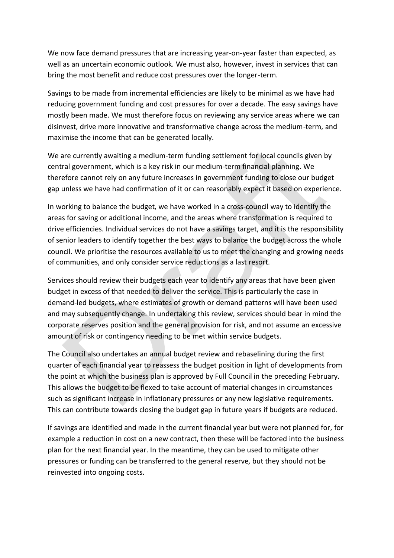We now face demand pressures that are increasing year-on-year faster than expected, as well as an uncertain economic outlook. We must also, however, invest in services that can bring the most benefit and reduce cost pressures over the longer-term.

Savings to be made from incremental efficiencies are likely to be minimal as we have had reducing government funding and cost pressures for over a decade. The easy savings have mostly been made. We must therefore focus on reviewing any service areas where we can disinvest, drive more innovative and transformative change across the medium-term, and maximise the income that can be generated locally.

We are currently awaiting a medium-term funding settlement for local councils given by central government, which is a key risk in our medium-term financial planning. We therefore cannot rely on any future increases in government funding to close our budget gap unless we have had confirmation of it or can reasonably expect it based on experience.

In working to balance the budget, we have worked in a cross-council way to identify the areas for saving or additional income, and the areas where transformation is required to drive efficiencies. Individual services do not have a savings target, and it is the responsibility of senior leaders to identify together the best ways to balance the budget across the whole council. We prioritise the resources available to us to meet the changing and growing needs of communities, and only consider service reductions as a last resort.

Services should review their budgets each year to identify any areas that have been given budget in excess of that needed to deliver the service. This is particularly the case in demand-led budgets, where estimates of growth or demand patterns will have been used and may subsequently change. In undertaking this review, services should bear in mind the corporate reserves position and the general provision for risk, and not assume an excessive amount of risk or contingency needing to be met within service budgets.

The Council also undertakes an annual budget review and rebaselining during the first quarter of each financial year to reassess the budget position in light of developments from the point at which the business plan is approved by Full Council in the preceding February. This allows the budget to be flexed to take account of material changes in circumstances such as significant increase in inflationary pressures or any new legislative requirements. This can contribute towards closing the budget gap in future years if budgets are reduced.

If savings are identified and made in the current financial year but were not planned for, for example a reduction in cost on a new contract, then these will be factored into the business plan for the next financial year. In the meantime, they can be used to mitigate other pressures or funding can be transferred to the general reserve, but they should not be reinvested into ongoing costs.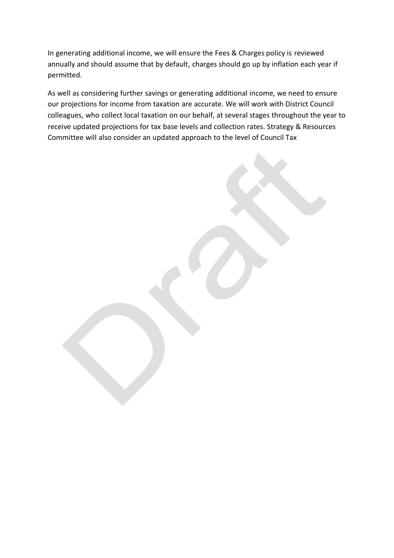In generating additional income, we will ensure the Fees & Charges policy is reviewed annually and should assume that by default, charges should go up by inflation each year if permitted.

As well as considering further savings or generating additional income, we need to ensure our projections for income from taxation are accurate. We will work with District Council colleagues, who collect local taxation on our behalf, at several stages throughout the year to receive updated projections for tax base levels and collection rates. Strategy & Resources Committee will also consider an updated approach to the level of Council Tax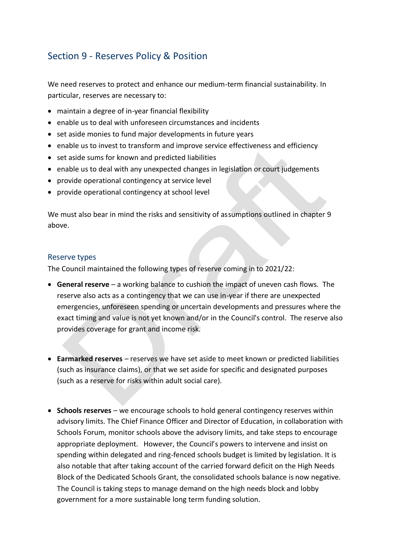# Section 9 - Reserves Policy & Position

We need reserves to protect and enhance our medium-term financial sustainability. In particular, reserves are necessary to:

- maintain a degree of in-year financial flexibility
- enable us to deal with unforeseen circumstances and incidents
- set aside monies to fund major developments in future years
- enable us to invest to transform and improve service effectiveness and efficiency
- set aside sums for known and predicted liabilities
- enable us to deal with any unexpected changes in legislation or court judgements
- provide operational contingency at service level
- provide operational contingency at school level

We must also bear in mind the risks and sensitivity of assumptions outlined in chapter 9 above.

## Reserve types

The Council maintained the following types of reserve coming in to 2021/22:

- **General reserve** a working balance to cushion the impact of uneven cash flows. The reserve also acts as a contingency that we can use in-year if there are unexpected emergencies, unforeseen spending or uncertain developments and pressures where the exact timing and value is not yet known and/or in the Council's control. The reserve also provides coverage for grant and income risk.
- **Earmarked reserves** reserves we have set aside to meet known or predicted liabilities (such as insurance claims), or that we set aside for specific and designated purposes (such as a reserve for risks within adult social care).
- **Schools reserves** we encourage schools to hold general contingency reserves within advisory limits. The Chief Finance Officer and Director of Education, in collaboration with Schools Forum, monitor schools above the advisory limits, and take steps to encourage appropriate deployment. However, the Council's powers to intervene and insist on spending within delegated and ring-fenced schools budget is limited by legislation. It is also notable that after taking account of the carried forward deficit on the High Needs Block of the Dedicated Schools Grant, the consolidated schools balance is now negative. The Council is taking steps to manage demand on the high needs block and lobby government for a more sustainable long term funding solution.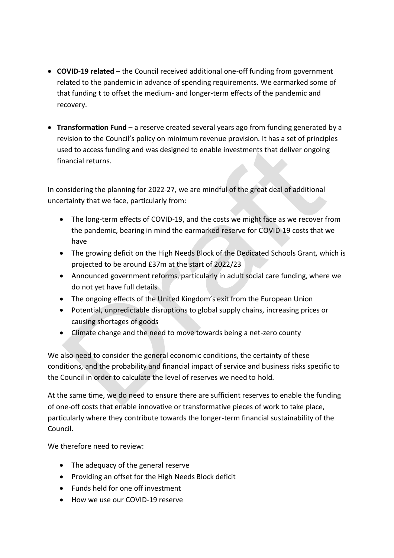- **COVID-19 related**  the Council received additional one-off funding from government related to the pandemic in advance of spending requirements. We earmarked some of that funding t to offset the medium- and longer-term effects of the pandemic and recovery.
- **Transformation Fund**  a reserve created several years ago from funding generated by a revision to the Council's policy on minimum revenue provision. It has a set of principles used to access funding and was designed to enable investments that deliver ongoing financial returns.

In considering the planning for 2022-27, we are mindful of the great deal of additional uncertainty that we face, particularly from:

- The long-term effects of COVID-19, and the costs we might face as we recover from the pandemic, bearing in mind the earmarked reserve for COVID-19 costs that we have
- The growing deficit on the High Needs Block of the Dedicated Schools Grant, which is projected to be around £37m at the start of 2022/23
- Announced government reforms, particularly in adult social care funding, where we do not yet have full details
- The ongoing effects of the United Kingdom's exit from the European Union
- Potential, unpredictable disruptions to global supply chains, increasing prices or causing shortages of goods
- Climate change and the need to move towards being a net-zero county

We also need to consider the general economic conditions, the certainty of these conditions, and the probability and financial impact of service and business risks specific to the Council in order to calculate the level of reserves we need to hold.

At the same time, we do need to ensure there are sufficient reserves to enable the funding of one-off costs that enable innovative or transformative pieces of work to take place, particularly where they contribute towards the longer-term financial sustainability of the Council.

We therefore need to review:

- The adequacy of the general reserve
- Providing an offset for the High Needs Block deficit
- Funds held for one off investment
- How we use our COVID-19 reserve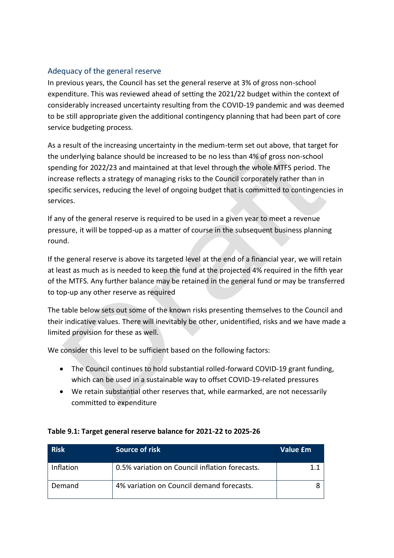## Adequacy of the general reserve

In previous years, the Council has set the general reserve at 3% of gross non-school expenditure. This was reviewed ahead of setting the 2021/22 budget within the context of considerably increased uncertainty resulting from the COVID-19 pandemic and was deemed to be still appropriate given the additional contingency planning that had been part of core service budgeting process.

As a result of the increasing uncertainty in the medium-term set out above, that target for the underlying balance should be increased to be no less than 4% of gross non-school spending for 2022/23 and maintained at that level through the whole MTFS period. The increase reflects a strategy of managing risks to the Council corporately rather than in specific services, reducing the level of ongoing budget that is committed to contingencies in services.

If any of the general reserve is required to be used in a given year to meet a revenue pressure, it will be topped-up as a matter of course in the subsequent business planning round.

If the general reserve is above its targeted level at the end of a financial year, we will retain at least as much as is needed to keep the fund at the projected 4% required in the fifth year of the MTFS. Any further balance may be retained in the general fund or may be transferred to top-up any other reserve as required

The table below sets out some of the known risks presenting themselves to the Council and their indicative values. There will inevitably be other, unidentified, risks and we have made a limited provision for these as well.

We consider this level to be sufficient based on the following factors:

- The Council continues to hold substantial rolled-forward COVID-19 grant funding, which can be used in a sustainable way to offset COVID-19-related pressures
- We retain substantial other reserves that, while earmarked, are not necessarily committed to expenditure

| <b>Risk</b>      | Source of risk                                 | Value £m |
|------------------|------------------------------------------------|----------|
| <b>Inflation</b> | 0.5% variation on Council inflation forecasts. | 11       |
| Demand           | 4% variation on Council demand forecasts.      |          |

## **Table 9.1: Target general reserve balance for 2021-22 to 2025-26**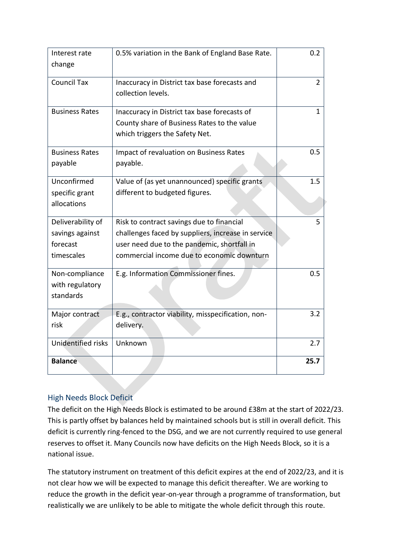| Interest rate<br>change                                        | 0.5% variation in the Bank of England Base Rate.                                                                                                                                             | 0.2            |
|----------------------------------------------------------------|----------------------------------------------------------------------------------------------------------------------------------------------------------------------------------------------|----------------|
| <b>Council Tax</b>                                             | Inaccuracy in District tax base forecasts and<br>collection levels.                                                                                                                          | $\overline{2}$ |
| <b>Business Rates</b>                                          | Inaccuracy in District tax base forecasts of<br>County share of Business Rates to the value<br>which triggers the Safety Net.                                                                | $\mathbf{1}$   |
| <b>Business Rates</b><br>payable                               | Impact of revaluation on Business Rates<br>payable.                                                                                                                                          | 0.5            |
| Unconfirmed<br>specific grant<br>allocations                   | Value of (as yet unannounced) specific grants<br>different to budgeted figures.                                                                                                              | 1.5            |
| Deliverability of<br>savings against<br>forecast<br>timescales | Risk to contract savings due to financial<br>challenges faced by suppliers, increase in service<br>user need due to the pandemic, shortfall in<br>commercial income due to economic downturn | 5              |
| Non-compliance<br>with regulatory<br>standards                 | E.g. Information Commissioner fines.                                                                                                                                                         | 0.5            |
| Major contract<br>risk                                         | E.g., contractor viability, misspecification, non-<br>delivery.                                                                                                                              | 3.2            |
| Unidentified risks                                             | Unknown                                                                                                                                                                                      | 2.7            |
| <b>Balance</b>                                                 |                                                                                                                                                                                              | 25.7           |

# High Needs Block Deficit

The deficit on the High Needs Block is estimated to be around £38m at the start of 2022/23. This is partly offset by balances held by maintained schools but is still in overall deficit. This deficit is currently ring-fenced to the DSG, and we are not currently required to use general reserves to offset it. Many Councils now have deficits on the High Needs Block, so it is a national issue.

The statutory instrument on treatment of this deficit expires at the end of 2022/23, and it is not clear how we will be expected to manage this deficit thereafter. We are working to reduce the growth in the deficit year-on-year through a programme of transformation, but realistically we are unlikely to be able to mitigate the whole deficit through this route.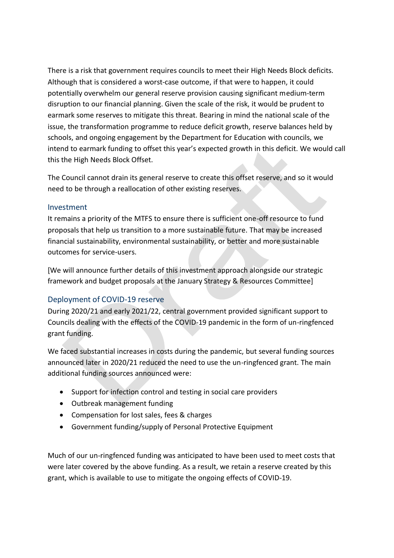There is a risk that government requires councils to meet their High Needs Block deficits. Although that is considered a worst-case outcome, if that were to happen, it could potentially overwhelm our general reserve provision causing significant medium-term disruption to our financial planning. Given the scale of the risk, it would be prudent to earmark some reserves to mitigate this threat. Bearing in mind the national scale of the issue, the transformation programme to reduce deficit growth, reserve balances held by schools, and ongoing engagement by the Department for Education with councils, we intend to earmark funding to offset this year's expected growth in this deficit. We would call this the High Needs Block Offset.

The Council cannot drain its general reserve to create this offset reserve, and so it would need to be through a reallocation of other existing reserves.

#### Investment

It remains a priority of the MTFS to ensure there is sufficient one-off resource to fund proposals that help us transition to a more sustainable future. That may be increased financial sustainability, environmental sustainability, or better and more sustainable outcomes for service-users.

[We will announce further details of this investment approach alongside our strategic framework and budget proposals at the January Strategy & Resources Committee]

## Deployment of COVID-19 reserve

During 2020/21 and early 2021/22, central government provided significant support to Councils dealing with the effects of the COVID-19 pandemic in the form of un-ringfenced grant funding.

We faced substantial increases in costs during the pandemic, but several funding sources announced later in 2020/21 reduced the need to use the un-ringfenced grant. The main additional funding sources announced were:

- Support for infection control and testing in social care providers
- Outbreak management funding
- Compensation for lost sales, fees & charges
- Government funding/supply of Personal Protective Equipment

Much of our un-ringfenced funding was anticipated to have been used to meet costs that were later covered by the above funding. As a result, we retain a reserve created by this grant, which is available to use to mitigate the ongoing effects of COVID-19.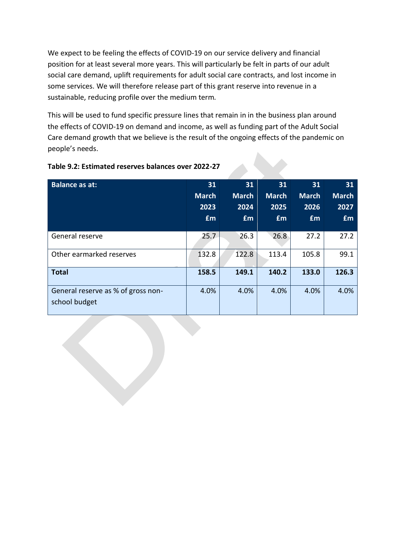We expect to be feeling the effects of COVID-19 on our service delivery and financial position for at least several more years. This will particularly be felt in parts of our adult social care demand, uplift requirements for adult social care contracts, and lost income in some services. We will therefore release part of this grant reserve into revenue in a sustainable, reducing profile over the medium term.

This will be used to fund specific pressure lines that remain in in the business plan around the effects of COVID-19 on demand and income, as well as funding part of the Adult Social Care demand growth that we believe is the result of the ongoing effects of the pandemic on people's needs.

| <b>Balance as at:</b>                               | 31           | 31           | 31           | 31           | 31           |
|-----------------------------------------------------|--------------|--------------|--------------|--------------|--------------|
|                                                     | <b>March</b> | <b>March</b> | <b>March</b> | <b>March</b> | <b>March</b> |
|                                                     | 2023         | 2024         | 2025         | 2026         | 2027         |
|                                                     | <b>£m</b>    | £m           | <b>fm</b>    | <b>fm</b>    | <b>£m</b>    |
|                                                     |              |              |              |              |              |
| General reserve                                     | 25.7         | 26.3         | 26.8         | 27.2         | 27.2         |
| Other earmarked reserves                            | 132.8        | 122.8        | 113.4        | 105.8        | 99.1         |
| <b>Total</b>                                        | 158.5        | 149.1        | 140.2        | 133.0        | 126.3        |
| General reserve as % of gross non-<br>school budget | 4.0%         | 4.0%         | 4.0%         | 4.0%         | 4.0%         |

#### **Table 9.2: Estimated reserves balances over 2022-27**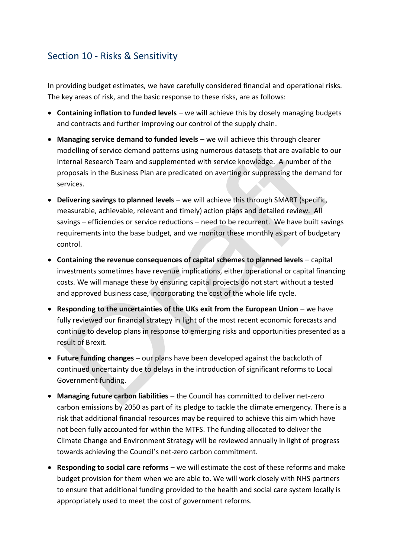# Section 10 - Risks & Sensitivity

In providing budget estimates, we have carefully considered financial and operational risks. The key areas of risk, and the basic response to these risks, are as follows:

- **Containing inflation to funded levels** we will achieve this by closely managing budgets and contracts and further improving our control of the supply chain.
- **Managing service demand to funded levels** we will achieve this through clearer modelling of service demand patterns using numerous datasets that are available to our internal Research Team and supplemented with service knowledge. A number of the proposals in the Business Plan are predicated on averting or suppressing the demand for services.
- **Delivering savings to planned levels** we will achieve this through SMART (specific, measurable, achievable, relevant and timely) action plans and detailed review. All savings – efficiencies or service reductions – need to be recurrent. We have built savings requirements into the base budget, and we monitor these monthly as part of budgetary control.
- **Containing the revenue consequences of capital schemes to planned levels** capital investments sometimes have revenue implications, either operational or capital financing costs. We will manage these by ensuring capital projects do not start without a tested and approved business case, incorporating the cost of the whole life cycle.
- **Responding to the uncertainties of the UKs exit from the European Union** we have fully reviewed our financial strategy in light of the most recent economic forecasts and continue to develop plans in response to emerging risks and opportunities presented as a result of Brexit.
- **Future funding changes** our plans have been developed against the backcloth of continued uncertainty due to delays in the introduction of significant reforms to Local Government funding.
- **Managing future carbon liabilities**  the Council has committed to deliver net-zero carbon emissions by 2050 as part of its pledge to tackle the climate emergency. There is a risk that additional financial resources may be required to achieve this aim which have not been fully accounted for within the MTFS. The funding allocated to deliver the Climate Change and Environment Strategy will be reviewed annually in light of progress towards achieving the Council's net-zero carbon commitment.
- **Responding to social care reforms**  we will estimate the cost of these reforms and make budget provision for them when we are able to. We will work closely with NHS partners to ensure that additional funding provided to the health and social care system locally is appropriately used to meet the cost of government reforms.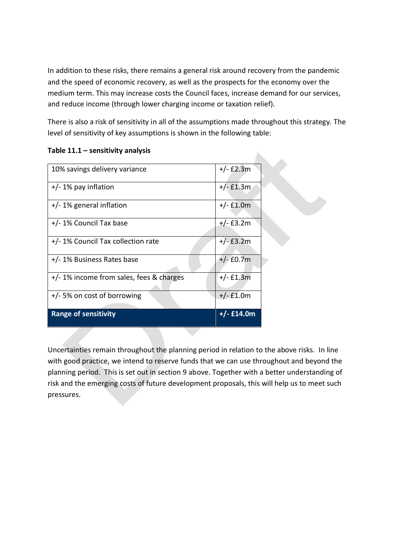In addition to these risks, there remains a general risk around recovery from the pandemic and the speed of economic recovery, as well as the prospects for the economy over the medium term. This may increase costs the Council faces, increase demand for our services, and reduce income (through lower charging income or taxation relief).

There is also a risk of sensitivity in all of the assumptions made throughout this strategy. The level of sensitivity of key assumptions is shown in the following table:

| 10% savings delivery variance           | $+/-$ £2.3m  |
|-----------------------------------------|--------------|
| $+/- 1\%$ pay inflation                 | $+/-$ £1.3m  |
| $+/- 1\%$ general inflation             | $+/-$ £1.0m  |
| +/- 1% Council Tax base                 | $+/-$ £3.2m  |
| +/-1% Council Tax collection rate       | $+/-$ £3.2m  |
| +/-1% Business Rates base               | $+/-$ £0.7m  |
| +/-1% income from sales, fees & charges | $+/-$ £1.3m  |
| +/-5% on cost of borrowing              | $+/-$ £1.0m  |
| <b>Range of sensitivity</b>             | $+/-$ £14.0m |

#### **Table 11.1 – sensitivity analysis**

Uncertainties remain throughout the planning period in relation to the above risks. In line with good practice, we intend to reserve funds that we can use throughout and beyond the planning period. This is set out in section 9 above. Together with a better understanding of risk and the emerging costs of future development proposals, this will help us to meet such pressures.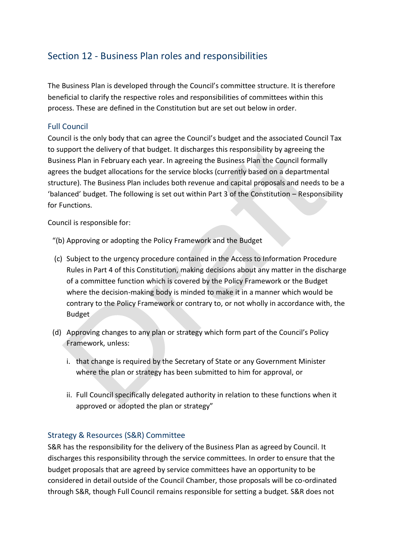# Section 12 - Business Plan roles and responsibilities

The Business Plan is developed through the Council's committee structure. It is therefore beneficial to clarify the respective roles and responsibilities of committees within this process. These are defined in the Constitution but are set out below in order.

# Full Council

Council is the only body that can agree the Council's budget and the associated Council Tax to support the delivery of that budget. It discharges this responsibility by agreeing the Business Plan in February each year. In agreeing the Business Plan the Council formally agrees the budget allocations for the service blocks (currently based on a departmental structure). The Business Plan includes both revenue and capital proposals and needs to be a 'balanced' budget. The following is set out within Part 3 of the Constitution – Responsibility for Functions.

Council is responsible for:

- "(b) Approving or adopting the Policy Framework and the Budget
- (c) Subject to the urgency procedure contained in the Access to Information Procedure Rules in Part 4 of this Constitution, making decisions about any matter in the discharge of a committee function which is covered by the Policy Framework or the Budget where the decision-making body is minded to make it in a manner which would be contrary to the Policy Framework or contrary to, or not wholly in accordance with, the Budget
- (d) Approving changes to any plan or strategy which form part of the Council's Policy Framework, unless:
	- i. that change is required by the Secretary of State or any Government Minister where the plan or strategy has been submitted to him for approval, or
	- ii. Full Council specifically delegated authority in relation to these functions when it approved or adopted the plan or strategy"

## Strategy & Resources (S&R) Committee

S&R has the responsibility for the delivery of the Business Plan as agreed by Council. It discharges this responsibility through the service committees. In order to ensure that the budget proposals that are agreed by service committees have an opportunity to be considered in detail outside of the Council Chamber, those proposals will be co-ordinated through S&R, though Full Council remains responsible for setting a budget. S&R does not